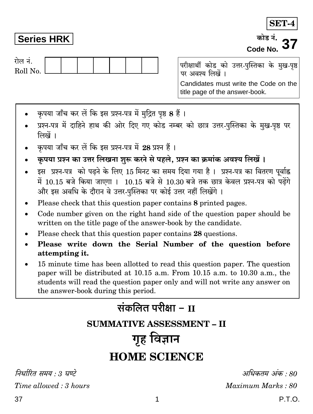Maximum Marks: 80

अधिकतम् अंक  $\cdot$ 80

## Series HRK

रोल नं. Roll No.

परीक्षार्थी कोड को उत्तर-पुस्तिका के मुख-पृष्ठ पर अवश्य लिखें । Candidates must write the Code on the title page of the answer-book.

- कृपया जाँच कर लें कि इस प्रश्न-पत्र में मुद्रित पृष्ठ 8 हैं।
- प्रश्न-पत्र में दाहिने हाथ की ओर दिए गए कोड नम्बर को छात्र उत्तर-पस्तिका के मख-पष्ठ पर लिखें ।
- कपया जाँच कर लें कि इस प्रश्न-पत्र में 28 प्रश्न हैं।
- कृपया प्रश्न का उत्तर लिखना शुरू करने से पहले, प्रश्न का क्रमांक अवश्य लिखें।
- इस प्रश्न-पत्र को पढने के लिए 15 मिनट का समय दिया गया है। प्रश्न-पत्र का वितरण पूर्वाह्न में 10.15 बजे किया जाएगा । 10.15 बजे से 10.30 बजे तक छात्र केवल प्रश्न-पत्र को पढ़ेंगे और इस अवधि के दौरान वे उत्तर-पुस्तिका पर कोई उत्तर नहीं लिखेंगे ।
- Please check that this question paper contains 8 printed pages.
- Code number given on the right hand side of the question paper should be  $\bullet$ written on the title page of the answer-book by the candidate.
- Please check that this question paper contains 28 questions.
- Please write down the Serial Number of the question before attempting it.
- 15 minute time has been allotted to read this question paper. The question paper will be distributed at 10.15 a.m. From 10.15 a.m. to 10.30 a.m., the students will read the question paper only and will not write any answer on the answer-book during this period.

## संकलित परीक्षा – II **SUMMATIVE ASSESSMENT - II** गृह विज्ञान **HOME SCIENCE**

निर्धारित समय  $\cdot$  3 घण्टे



कोड़ नं. Code No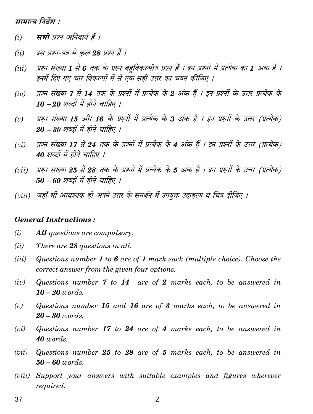सामान्य निर्देश :

- सभी प्रश्न अनिवार्य हैं ।  $(i)$
- इस प्रश्न-पत्र में कल 28 प्रश्न हैं ।  $(ii)$
- प्रश्न संख्या 1 से 6 तक के प्रश्न बहविकल्पीय प्रश्न हैं । इन प्रश्नों में प्रत्येक का 1 अंक है ।  $(iii)$ इनमें दिए गए चार विकल्पों में से एक सही उत्तर का चयन कीजिए ।
- प्रश्न संख्या 7 से 14 तक के प्रश्नों में प्रत्येक के 2 अंक हैं । इन प्रश्नों के उत्तर प्रत्येक के  $(iv)$  $10 - 20$  शब्दों में होने चाहिए ।
- प्रश्न संख्या 15 और 16 के प्रश्नों में प्रत्येक के 3 अंक हैं । इन प्रश्नों के उत्तर (प्रत्येक)  $(v)$  $20 - 30$  शब्दों में होने चाहिए ।
- प्रश्न संख्या 17 से 24 तक के प्रश्नों में प्रत्येक के 4 अंक हैं । इन प्रश्नों के उत्तर (प्रत्येक)  $(vi)$ 40 शब्दों में होने चाहिए ।
- प्रश्न संख्या 25 से 28 तक के प्रश्नों में प्रत्येक के 5 अंक हैं । इन प्रश्नों के उत्तर (प्रत्येक)  $(vii)$  $50 - 60$  शब्दों में होने चाहिए ।
- (viii) जहाँ भी आवश्यक हो अपने उत्तर के समर्थन में उपयुक्त उदाहरण व चित्र दीजिए ।

## **General Instructions:**

- $(i)$ **All** questions are compulsory.
- $(ii)$ There are 28 questions in all.
- $(iii)$ Questions number 1 to 6 are of 1 mark each (multiple choice). Choose the correct answer from the given four options.
- Questions number  $7$  to  $14$  are of  $2$  marks each, to be answered in  $(iv)$  $10 - 20$  words.
- Questions number 15 and 16 are of 3 marks each, to be answered in  $(v)$  $20 - 30$  words.
- Questions number  $17$  to  $24$  are of  $4$  marks each, to be answered in  $(vi)$  $40$  words.
- $(vii)$ Questions number  $25$  to  $28$  are of 5 marks each, to be answered in  $50 - 60$  words.
- (viii) Support your answers with suitable examples and figures wherever required.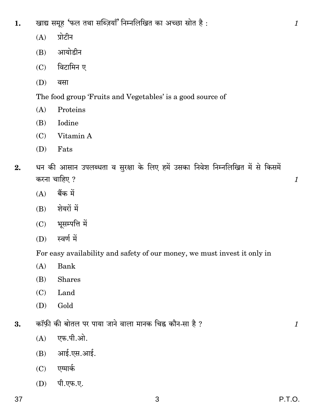- खाद्य समूह 'फल तथा सब्ज़ियाँ' निम्नलिखित का अच्छा स्रोत है: 1.
	- $(A)$ प्रोटीन
	- आयोडीन  $(B)$
	- विटामिन ए  $(C)$
	- (D) वसा

The food group 'Fruits and Vegetables' is a good source of

- $(A)$ Proteins
- Iodine  $(B)$
- $(C)$  Vitamin A
- $(D)$  Fats
- धन की आसान उपलब्धता व सुरक्षा के लिए हमें उसका निवेश निम्नलिखित में से किसमें  $2.$ करना चाहिए ?
	- बैंक में  $(A)$
	- $(B)$  शेयरों में
	- $(C)$  भूसम्पत्ति में
	- $(D)$  स्वर्ण में

For easy availability and safety of our money, we must invest it only in

- $(A)$ Bank
- **Shares** (B)
- $(C)$ Land
- (D) Gold
- कॉफ़ी की बोतल पर पाया जाने वाला मानक चिह्न कौन-सा है ? 3.
	- एफ.पी.ओ.  $(A)$
	- $(B)$  आई.एस.आई.
	- $(C)$  एग्मार्क
	- (D) पी.एफ.ए.

 $\mathcal{I}$ 

 $\mathcal{I}$ 

 $\mathcal{I}_{\mathcal{L}}$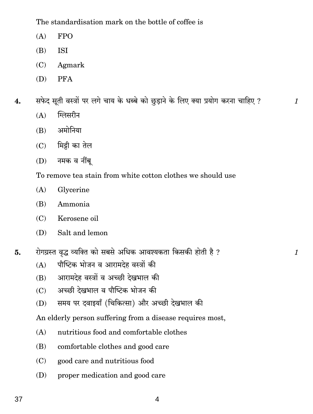The standardisation mark on the bottle of coffee is

- $(A)$ **FPO**
- $(B)$ **ISI**
- Agmark  $(C)$
- (D) **PFA**
- सफेद सूती वस्त्रों पर लगे चाय के धब्बे को छुड़ाने के लिए क्या प्रयोग करना चाहिए ? 4.

 $\mathcal{I}_{\mathcal{L}}$ 

 $\mathcal{I}$ 

- ग्लिसरीन  $(A)$
- अमोनिया  $(B)$
- $(C)$  मिट्टी का तेल
- $(D)$  नमक व नींब्

To remove tea stain from white cotton clothes we should use

- $(A)$ Glycerine
- Ammonia (B)
- Kerosene oil  $(C)$
- $(D)$ Salt and lemon
- रोगग्रस्त वृद्ध व्यक्ति को सबसे अधिक आवश्यकता किसकी होती है ? 5.
	- पौष्टिक भोजन व आरामदेह वस्त्रों की  $(A)$
	- आरामदेह वस्त्रों व अच्छी देखभाल की (B)
	- अच्छी देखभाल व पौष्टिक भोजन की  $(C)$
	- समय पर दवाइयाँ (चिकित्सा) और अच्छी देखभाल की (D)

An elderly person suffering from a disease requires most,

- $(A)$ nutritious food and comfortable clothes
- (B) comfortable clothes and good care
- good care and nutritious food  $(C)$
- proper medication and good care (D)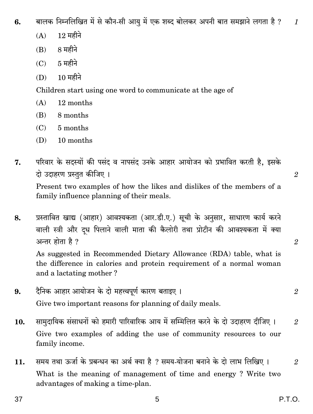बालक निम्नलिखित में से कौन-सी आयु में एक शब्द बोलकर अपनी बात समझाने लगता है ? В.  $\mathcal I$ 

- $12 \text{ H}$ दीने  $(A)$
- $(B)$   $8 \text{ H}$ हीने
- $5$  महीने  $(C)$
- $10$  महीने  $(D)$

Children start using one word to communicate at the age of

- $(A)$ 12 months
- 8 months  $(B)$
- $(C)$ 5 months
- (D) 10 months
- परिवार के सदस्यों की पसंद व नापसंद उनके आहार आयोजन को प्रभावित करती है, इसके 7. दो उदाहरण प्रस्तुत कीजिए ।

Present two examples of how the likes and dislikes of the members of a family influence planning of their meals.

प्रस्तावित खाद्य (आहार) आवश्यकता (आर.डी.ए.) सूची के अनुसार, साधारण कार्य करने 8. वाली स्त्री और दध पिलाने वाली माता की कैलोरी तथा प्रोटीन की आवश्यकता में क्या अन्तर होता है ?

As suggested in Recommended Dietary Allowance (RDA) table, what is the difference in calories and protein requirement of a normal woman and a lactating mother?

- दैनिक आहार आयोजन के दो महत्त्वपूर्ण कारण बताइए । 9. Give two important reasons for planning of daily meals.
- सामुदायिक संसाधनों को हमारी पारिवारिक आय में सम्मिलित करने के दो उदाहरण दीजिए । 10.  $\mathcal{D}$ Give two examples of adding the use of community resources to our family income.
- समय तथा ऊर्जा के प्रबन्धन का अर्थ क्या है ? समय-योजना बनाने के दो लाभ लिखिए । 11.  $\mathfrak{D}$ What is the meaning of management of time and energy? Write two advantages of making a time-plan.

 $\mathfrak{D}$ 

 $\mathcal{D}_{\mathcal{L}}$ 

 $\overline{2}$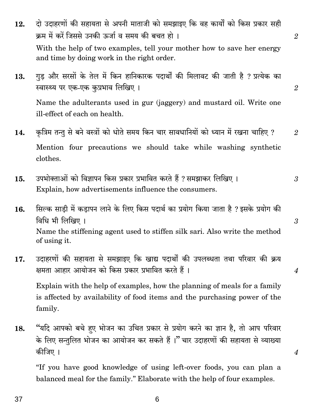37

- दो उदाहरणों की सहायता से अपनी माताजी को समझाइए कि वह कार्यों को किस प्रकार सही 12. क्रम में करें जिससे उनकी ऊर्जा व समय की बचत हो । With the help of two examples, tell your mother how to save her energy and time by doing work in the right order.
- गुड़ और सरसों के तेल में किन हानिकारक पदार्थों की मिलावट की जाती है ? प्रत्येक का 13. स्वास्थ्य पर एक-एक कुप्रभाव लिखिए ।

Name the adulterants used in gur (jaggery) and mustard oil. Write one ill-effect of each on health.

- कुत्रिम तन्तु से बने वस्त्रों को धोते समय किन चार सावधानियों को ध्यान में रखना चाहिए ? 14. Mention four precautions we should take while washing synthetic clothes.
- उपभोक्ताओं को विज्ञापन किस प्रकार प्रभावित करते हैं ? समझाकर लिखिए । 15. 3 Explain, how advertisements influence the consumers.
- सिल्क साडी में कडापन लाने के लिए किस पदार्थ का प्रयोग किया जाता है ? इसके प्रयोग की 16. विधि भी लिखिए। Name the stiffening agent used to stiffen silk sari. Also write the method of using it.
- उदाहरणों की सहायता से समझाइए कि खाद्य पदार्थों की उपलब्धता तथा परिवार की क्रय 17. क्षमता आहार आयोजन को किस प्रकार प्रभावित करते हैं।

Explain with the help of examples, how the planning of meals for a family is affected by availability of food items and the purchasing power of the family.

"यदि आपको बचे हए भोजन का उचित प्रकार से प्रयोग करने का ज्ञान है, तो आप परिवार 18. के लिए सन्तुलित भोजन का आयोजन कर सकते हैं।" चार उदाहरणों की सहायता से व्याख्या कीजिए ।

"If you have good knowledge of using left-over foods, you can plan a balanced meal for the family." Elaborate with the help of four examples.

 $\boldsymbol{\varLambda}$ 

 $\boldsymbol{4}$ 

3

 $\mathcal{D}_{\mathcal{L}}$ 

 $\mathfrak{D}$ 

 $\mathfrak{D}$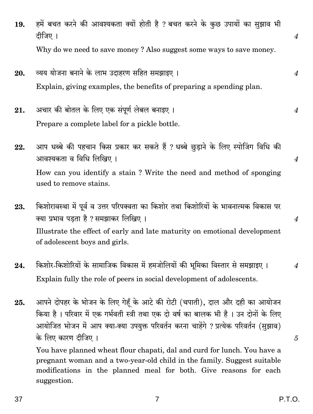37

- - P.T.O.
- हमें बचत करने की आवश्यकता क्यों होती है ? बचत करने के कुछ उपायों का सुझाव भी 19. दीजिए । Why do we need to save money? Also suggest some ways to save money.
- व्यय योजना बनाने के लाभ उदाहरण सहित समझाइए । 20. Explain, giving examples, the benefits of preparing a spending plan.
- अचार की बोतल के लिए एक संपूर्ण लेबल बनाइए । 21.  $\boldsymbol{4}$ Prepare a complete label for a pickle bottle.
- आप धब्बे की पहचान किस प्रकार कर सकते हैं ? धब्बे छुडाने के लिए स्पोजिंग विधि की 22. आवश्यकता व विधि लिखिए । How can you identify a stain? Write the need and method of sponging used to remove stains.
- किशोरावस्था में पूर्व व उत्तर परिपक्वता का किशोर तथा किशोरियों के भावनात्मक विकास पर 23. क्या प्रभाव पडता है ? समझाकर लिखिए । Illustrate the effect of early and late maturity on emotional development of adolescent boys and girls.
- किशोर-किशोरियों के सामाजिक विकास में हमजोलियों की भूमिका विस्तार से समझाइए । 24. Explain fully the role of peers in social development of adolescents.
- आपने दोपहर के भोजन के लिए गेहँ के आटे की रोटी (चपाती), दाल और दही का आयोजन 25. किया है। परिवार में एक गर्भवती स्त्री तथा एक दो वर्ष का बालक भी है। उन दोनों के लिए आयोजित भोजन में आप क्या-क्या उपयुक्त परिवर्तन करना चाहेंगे ? प्रत्येक परिवर्तन (सुझाव) के लिए कारण दीजिए ।

You have planned wheat flour chapati, dal and curd for lunch. You have a pregnant woman and a two-year-old child in the family. Suggest suitable modifications in the planned meal for both. Give reasons for each suggestion.

 $\overline{7}$ 

 $\overline{4}$ 

 $\overline{4}$ 

 $\overline{4}$ 

 $\boldsymbol{\varLambda}$ 

 $\overline{4}$ 

5